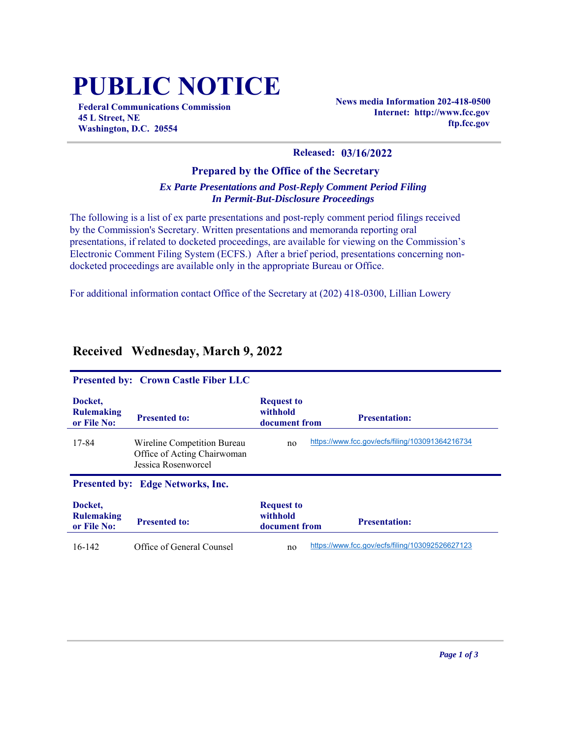# **PUBLIC NOTICE**

**Federal Communications Commission 45 L Street, NE Washington, D.C. 20554**

**News media Information 202-418-0500 Internet: http://www.fcc.gov ftp.fcc.gov**

#### **Released: 03/16/2022**

#### **Prepared by the Office of the Secretary** *Ex Parte Presentations and Post-Reply Comment Period Filing In Permit-But-Disclosure Proceedings*

The following is a list of ex parte presentations and post-reply comment period filings received by the Commission's Secretary. Written presentations and memoranda reporting oral presentations, if related to docketed proceedings, are available for viewing on the Commission's Electronic Comment Filing System (ECFS.) After a brief period, presentations concerning nondocketed proceedings are available only in the appropriate Bureau or Office.

For additional information contact Office of the Secretary at (202) 418-0300, Lillian Lowery

| <b>Presented by: Crown Castle Fiber LLC</b> |                                                                                   |                                                |                                                 |  |  |  |
|---------------------------------------------|-----------------------------------------------------------------------------------|------------------------------------------------|-------------------------------------------------|--|--|--|
| Docket,<br><b>Rulemaking</b><br>or File No: | <b>Presented to:</b>                                                              | <b>Request to</b><br>withhold<br>document from | <b>Presentation:</b>                            |  |  |  |
| 17-84                                       | Wireline Competition Bureau<br>Office of Acting Chairwoman<br>Jessica Rosenworcel | no                                             | https://www.fcc.gov/ecfs/filing/103091364216734 |  |  |  |
| <b>Presented by: Edge Networks, Inc.</b>    |                                                                                   |                                                |                                                 |  |  |  |
| Docket,<br><b>Rulemaking</b><br>or File No: | <b>Presented to:</b>                                                              | <b>Request to</b><br>withhold<br>document from | <b>Presentation:</b>                            |  |  |  |
| $16-142$                                    | Office of General Counsel                                                         | no                                             | https://www.fcc.gov/ecfs/filing/103092526627123 |  |  |  |

### **Received Wednesday, March 9, 2022**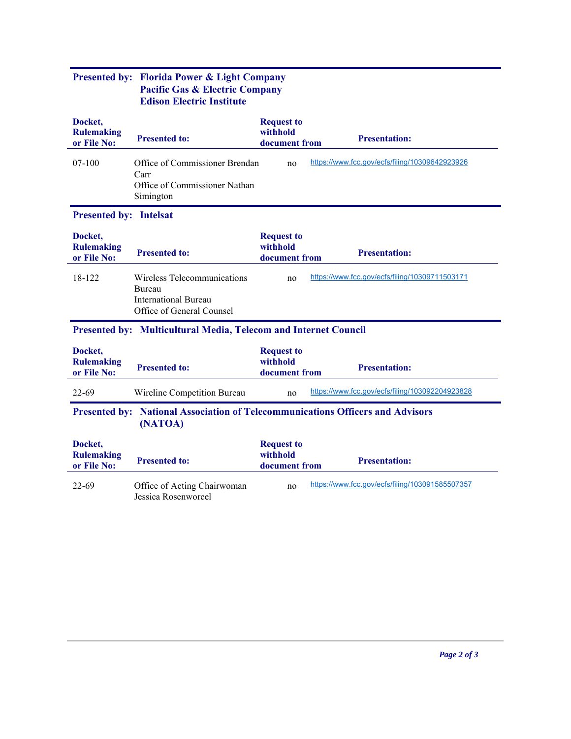|                                                                                           | $\mathbf{u}$ and $\mathbf{v}$ Externed Company<br><b>Edison Electric Institute</b>                |                                                |                                                 |  |  |  |  |  |
|-------------------------------------------------------------------------------------------|---------------------------------------------------------------------------------------------------|------------------------------------------------|-------------------------------------------------|--|--|--|--|--|
| Docket,<br><b>Rulemaking</b><br>or File No:                                               | <b>Presented to:</b>                                                                              | <b>Request to</b><br>withhold<br>document from | <b>Presentation:</b>                            |  |  |  |  |  |
| $07-100$                                                                                  | Office of Commissioner Brendan<br>Carr<br>Office of Commissioner Nathan<br>Simington              | no                                             | https://www.fcc.gov/ecfs/filing/10309642923926  |  |  |  |  |  |
| <b>Presented by: Intelsat</b>                                                             |                                                                                                   |                                                |                                                 |  |  |  |  |  |
| Docket,<br><b>Rulemaking</b><br>or File No:                                               | <b>Presented to:</b>                                                                              | <b>Request to</b><br>withhold<br>document from | <b>Presentation:</b>                            |  |  |  |  |  |
| 18-122                                                                                    | Wireless Telecommunications<br>Bureau<br><b>International Bureau</b><br>Office of General Counsel | no                                             | https://www.fcc.gov/ecfs/filing/10309711503171  |  |  |  |  |  |
| Presented by: Multicultural Media, Telecom and Internet Council                           |                                                                                                   |                                                |                                                 |  |  |  |  |  |
| Docket,<br><b>Rulemaking</b><br>or File No:                                               | <b>Presented to:</b>                                                                              | <b>Request to</b><br>withhold<br>document from | <b>Presentation:</b>                            |  |  |  |  |  |
| $22 - 69$                                                                                 | Wireline Competition Bureau                                                                       | no                                             | https://www.fcc.gov/ecfs/filing/103092204923828 |  |  |  |  |  |
| Presented by: National Association of Telecommunications Officers and Advisors<br>(NATOA) |                                                                                                   |                                                |                                                 |  |  |  |  |  |
| Docket,<br><b>Rulemaking</b><br>or File No:                                               | <b>Presented to:</b>                                                                              | <b>Request to</b><br>withhold<br>document from | <b>Presentation:</b>                            |  |  |  |  |  |
| $22 - 69$                                                                                 | Office of Acting Chairwoman<br>Jessica Rosenworcel                                                | no                                             | https://www.fcc.gov/ecfs/filing/103091585507357 |  |  |  |  |  |

## **Presented by: Florida Power & Light Company Pacific Gas & Electric Company**